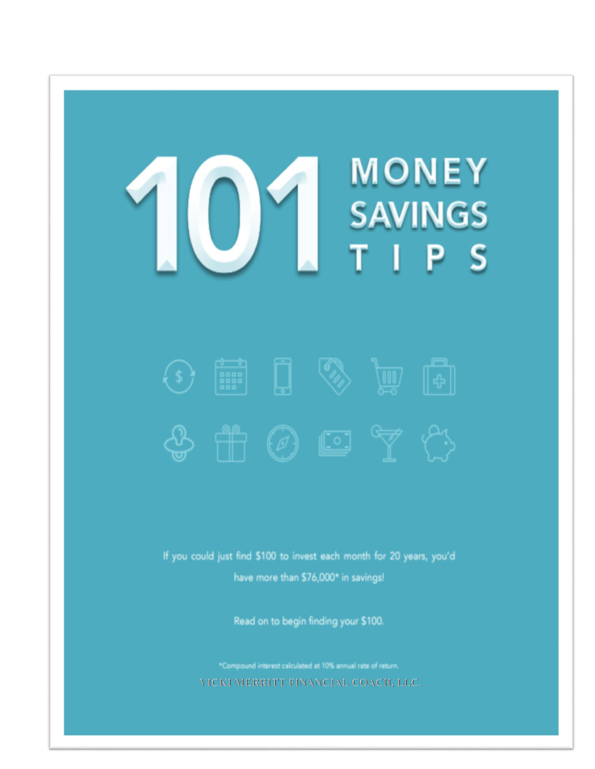### **MONEY** SAVINGS S Р



If you could just find \$100 to invest each month for 20 years, you'd have more than \$76,000\* in savings!

Read on to begin finding your \$100.

\*Compound interest calculated at 10% annual rate of return. VICKI MERRITT FINANCIAL COACH, LLC.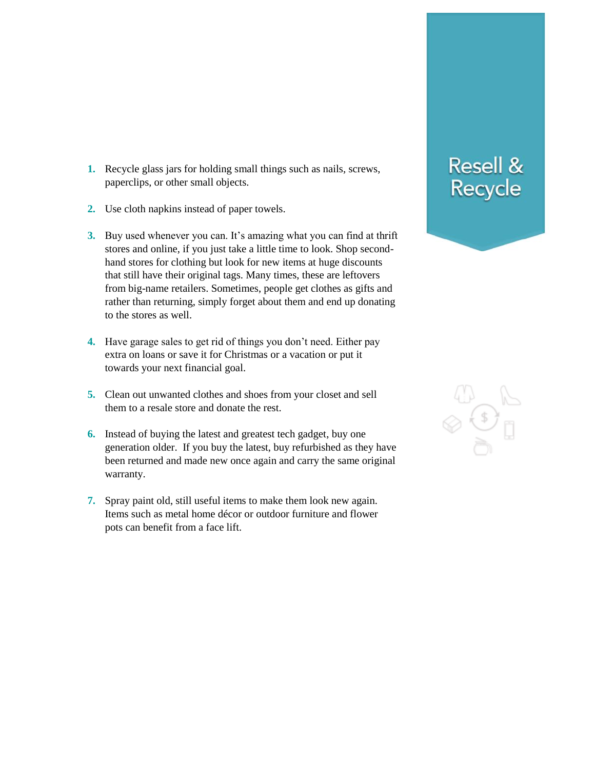- **1.** Recycle glass jars for holding small things such as nails, screws, paperclips, or other small objects.
- **2.** Use cloth napkins instead of paper towels.
- **3.** Buy used whenever you can. It's amazing what you can find at thrift stores and online, if you just take a little time to look. Shop secondhand stores for clothing but look for new items at huge discounts that still have their original tags. Many times, these are leftovers from big-name retailers. Sometimes, people get clothes as gifts and rather than returning, simply forget about them and end up donating to the stores as well.
- **4.** Have garage sales to get rid of things you don't need. Either pay extra on loans or save it for Christmas or a vacation or put it towards your next financial goal.
- **5.** Clean out unwanted clothes and shoes from your closet and sell them to a resale store and donate the rest.
- **6.** Instead of buying the latest and greatest tech gadget, buy one generation older. If you buy the latest, buy refurbished as they have been returned and made new once again and carry the same original warranty.
- **7.** Spray paint old, still useful items to make them look new again. Items such as metal home décor or outdoor furniture and flower pots can benefit from a face lift.

#### **Resell &** Recycle

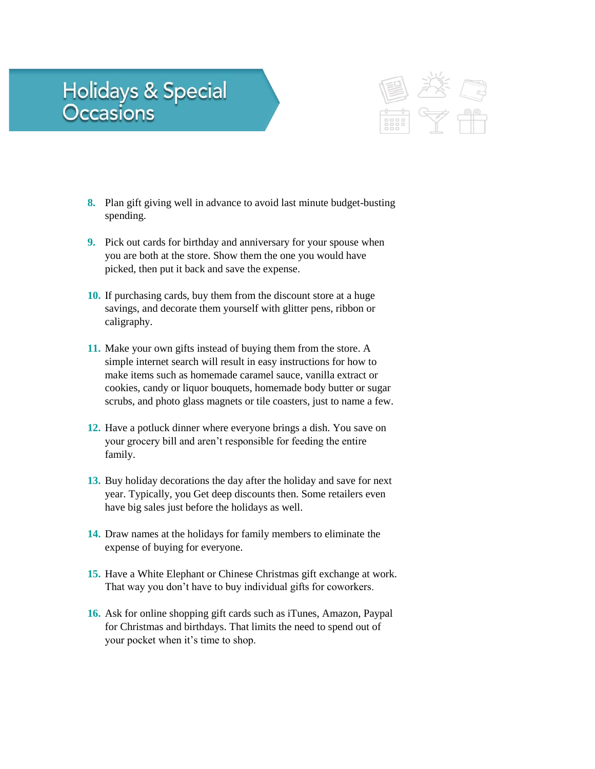## Holidays & Special<br>Occasions



- **8.** Plan gift giving well in advance to avoid last minute budget-busting spending.
- **9.** Pick out cards for birthday and anniversary for your spouse when you are both at the store. Show them the one you would have picked, then put it back and save the expense.
- **10.** If purchasing cards, buy them from the discount store at a huge savings, and decorate them yourself with glitter pens, ribbon or caligraphy.
- **11.** Make your own gifts instead of buying them from the store. A simple internet search will result in easy instructions for how to make items such as homemade caramel sauce, vanilla extract or cookies, candy or liquor bouquets, homemade body butter or sugar scrubs, and photo glass magnets or tile coasters, just to name a few.
- **12.** Have a potluck dinner where everyone brings a dish. You save on your grocery bill and aren't responsible for feeding the entire family.
- **13.** Buy holiday decorations the day after the holiday and save for next year. Typically, you Get deep discounts then. Some retailers even have big sales just before the holidays as well.
- **14.** Draw names at the holidays for family members to eliminate the expense of buying for everyone.
- **15.** Have a White Elephant or Chinese Christmas gift exchange at work. That way you don't have to buy individual gifts for coworkers.
- **16.** Ask for online shopping gift cards such as iTunes, Amazon, Paypal for Christmas and birthdays. That limits the need to spend out of your pocket when it's time to shop.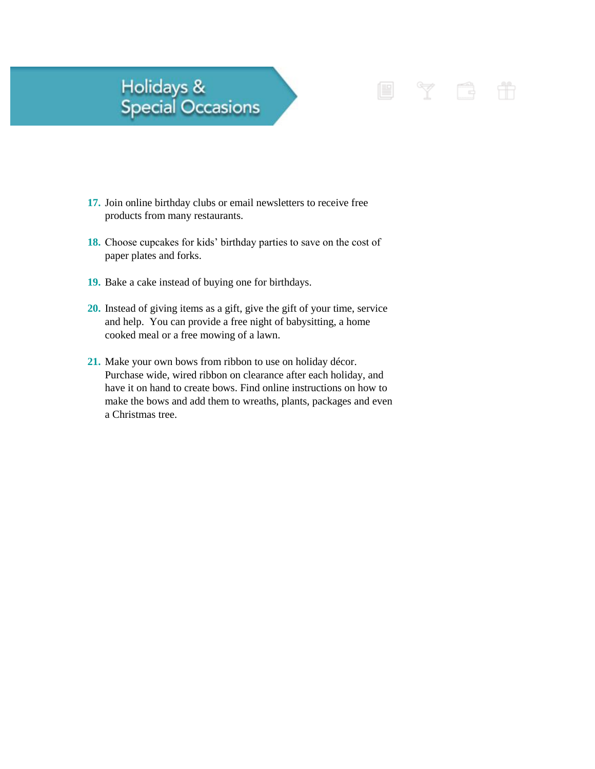### Holidays &<br>Special Occasions

**17.** Join online birthday clubs or email newsletters to receive free products from many restaurants.

Y B

E

- **18.** Choose cupcakes for kids' birthday parties to save on the cost of paper plates and forks.
- **19.** Bake a cake instead of buying one for birthdays.
- **20.** Instead of giving items as a gift, give the gift of your time, service and help. You can provide a free night of babysitting, a home cooked meal or a free mowing of a lawn.
- **21.** Make your own bows from ribbon to use on holiday décor. Purchase wide, wired ribbon on clearance after each holiday, and have it on hand to create bows. Find online instructions on how to make the bows and add them to wreaths, plants, packages and even a Christmas tree.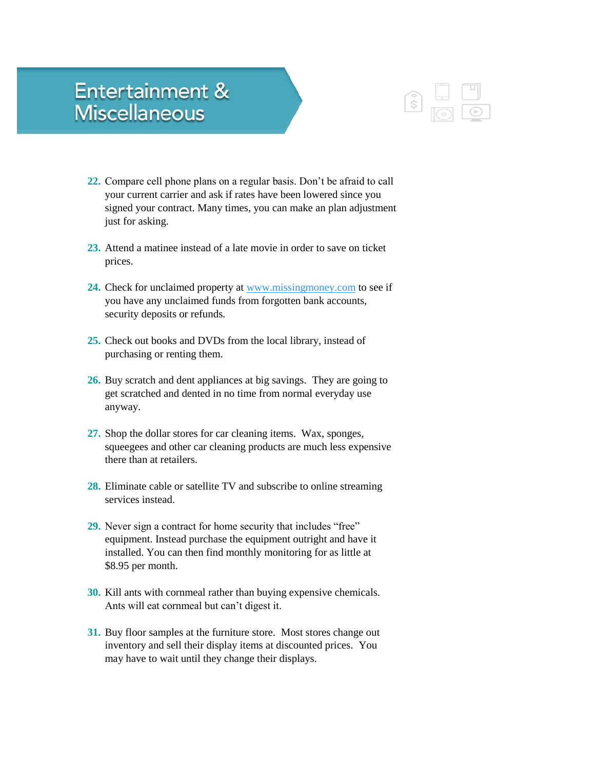#### **Entertainment & Miscellaneous**



- **22.** Compare cell phone plans on a regular basis. Don't be afraid to call your current carrier and ask if rates have been lowered since you signed your contract. Many times, you can make an plan adjustment just for asking.
- **23.** Attend a matinee instead of a late movie in order to save on ticket prices.
- **24.** Check for unclaimed property at [www.missingmoney.com](http://www.missingmoney.com/) to see if you have any unclaimed funds from forgotten bank accounts, security deposits or refunds.
- **25.** Check out books and DVDs from the local library, instead of purchasing or renting them.
- **26.** Buy scratch and dent appliances at big savings. They are going to get scratched and dented in no time from normal everyday use anyway.
- **27.** Shop the dollar stores for car cleaning items. Wax, sponges, squeegees and other car cleaning products are much less expensive there than at retailers.
- **28.** Eliminate cable or satellite TV and subscribe to online streaming services instead.
- **29.** Never sign a contract for home security that includes "free" equipment. Instead purchase the equipment outright and have it installed. You can then find monthly monitoring for as little at \$8.95 per month.
- **30.** Kill ants with cornmeal rather than buying expensive chemicals. Ants will eat cornmeal but can't digest it.
- **31.** Buy floor samples at the furniture store. Most stores change out inventory and sell their display items at discounted prices. You may have to wait until they change their displays.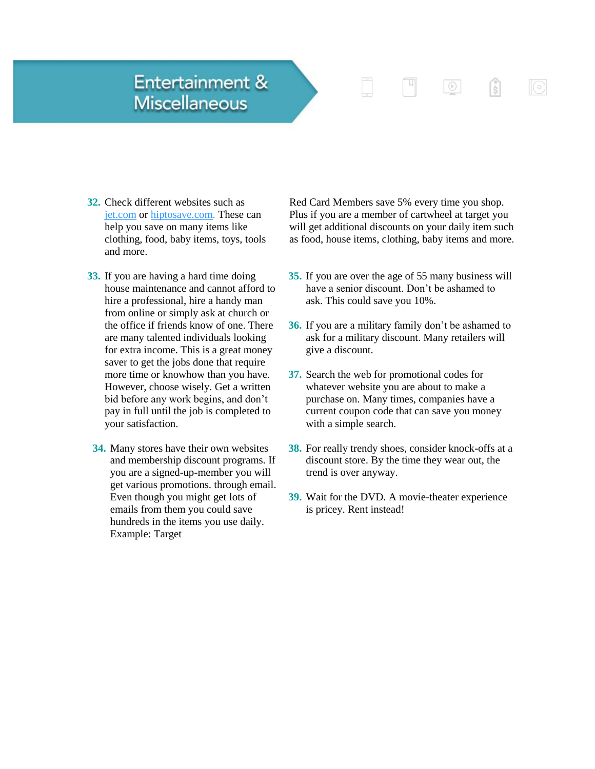#### **Entertainment & Miscellaneous**

- **32.** Check different websites such as [jet.com](http://www.jet.com/) or [hiptosave.com.](http://www.hiptosave.com/) These can help you save on many items like clothing, food, baby items, toys, tools and more.
- **33.** If you are having a hard time doing house maintenance and cannot afford to hire a professional, hire a handy man from online or simply ask at church or the office if friends know of one. There are many talented individuals looking for extra income. This is a great money saver to get the jobs done that require more time or knowhow than you have. However, choose wisely. Get a written bid before any work begins, and don't pay in full until the job is completed to your satisfaction.
- **34.** Many stores have their own websites and membership discount programs. If you are a signed-up-member you will get various promotions. through email. Even though you might get lots of emails from them you could save hundreds in the items you use daily. Example: Target

Red Card Members save 5% every time you shop. Plus if you are a member of cartwheel at target you will get additional discounts on your daily item such as food, house items, clothing, baby items and more.

 $\begin{tabular}{|c|c|} \hline \quad \quad & \quad \quad & \quad \quad \\ \hline \quad \quad & \quad \quad & \quad \quad \\ \hline \end{tabular}$ 

 $\odot$ 

 $\sqrt{3}$ 

- **35.** If you are over the age of 55 many business will have a senior discount. Don't be ashamed to ask. This could save you 10%.
- **36.** If you are a military family don't be ashamed to ask for a military discount. Many retailers will give a discount.
- **37.** Search the web for promotional codes for whatever website you are about to make a purchase on. Many times, companies have a current coupon code that can save you money with a simple search.
- **38.** For really trendy shoes, consider knock-offs at a discount store. By the time they wear out, the trend is over anyway.
- **39.** Wait for the DVD. A movie-theater experience is pricey. Rent instead!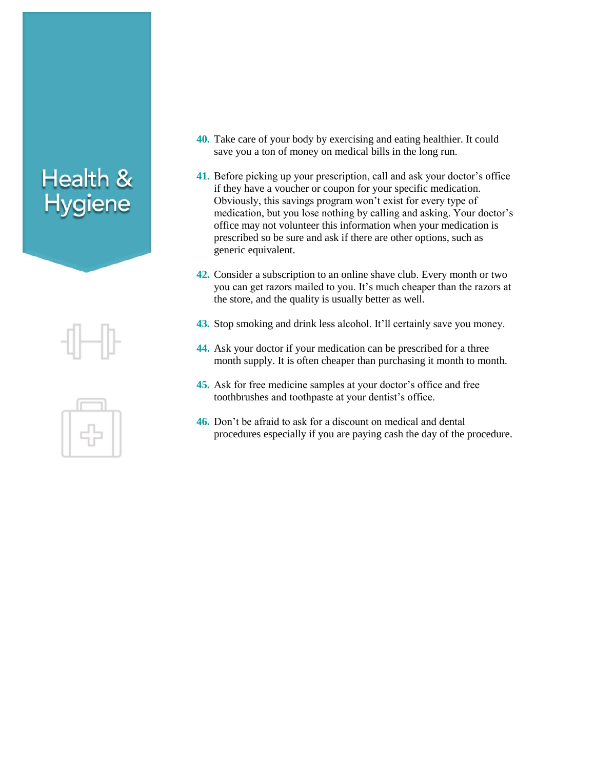## Health &<br>Hygiene

- **40.** Take care of your body by exercising and eating healthier. It could save you a ton of money on medical bills in the long run.
- **41.** Before picking up your prescription, call and ask your doctor's office if they have a voucher or coupon for your specific medication. Obviously, this savings program won't exist for every type of medication, but you lose nothing by calling and asking. Your doctor's office may not volunteer this information when your medication is prescribed so be sure and ask if there are other options, such as generic equivalent.
- **42.** Consider a subscription to an online shave club. Every month or two you can get razors mailed to you. It's much cheaper than the razors at the store, and the quality is usually better as well.
- **43.** Stop smoking and drink less alcohol. It'll certainly save you money.
- **44.** Ask your doctor if your medication can be prescribed for a three month supply. It is often cheaper than purchasing it month to month.
- **45.** Ask for free medicine samples at your doctor's office and free toothbrushes and toothpaste at your dentist's office.
- **46.** Don't be afraid to ask for a discount on medical and dental procedures especially if you are paying cash the day of the procedure.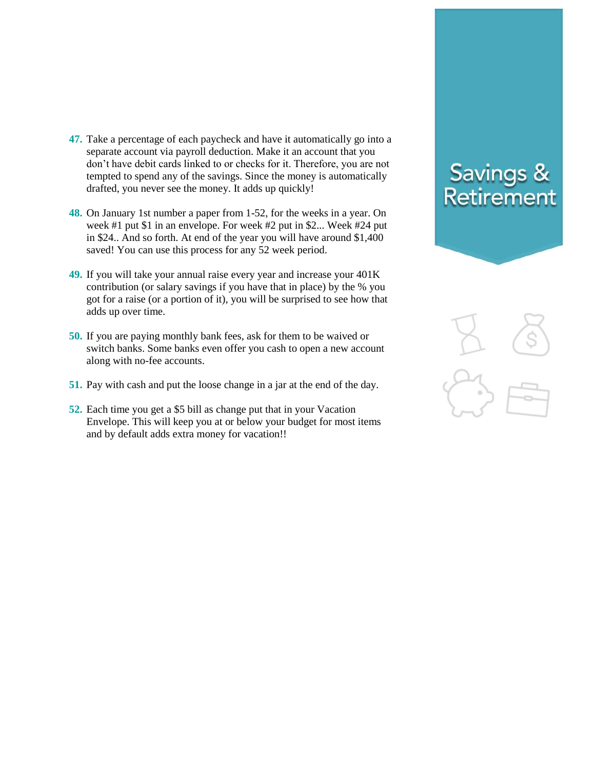- **47.** Take a percentage of each paycheck and have it automatically go into a separate account via payroll deduction. Make it an account that you don't have debit cards linked to or checks for it. Therefore, you are not tempted to spend any of the savings. Since the money is automatically drafted, you never see the money. It adds up quickly!
- **48.** On January 1st number a paper from 1-52, for the weeks in a year. On week #1 put \$1 in an envelope. For week #2 put in \$2... Week #24 put in \$24.. And so forth. At end of the year you will have around \$1,400 saved! You can use this process for any 52 week period.
- **49.** If you will take your annual raise every year and increase your 401K contribution (or salary savings if you have that in place) by the % you got for a raise (or a portion of it), you will be surprised to see how that adds up over time.
- **50.** If you are paying monthly bank fees, ask for them to be waived or switch banks. Some banks even offer you cash to open a new account along with no-fee accounts.
- **51.** Pay with cash and put the loose change in a jar at the end of the day.
- **52.** Each time you get a \$5 bill as change put that in your Vacation Envelope. This will keep you at or below your budget for most items and by default adds extra money for vacation!!

#### **Savings &** Retirement

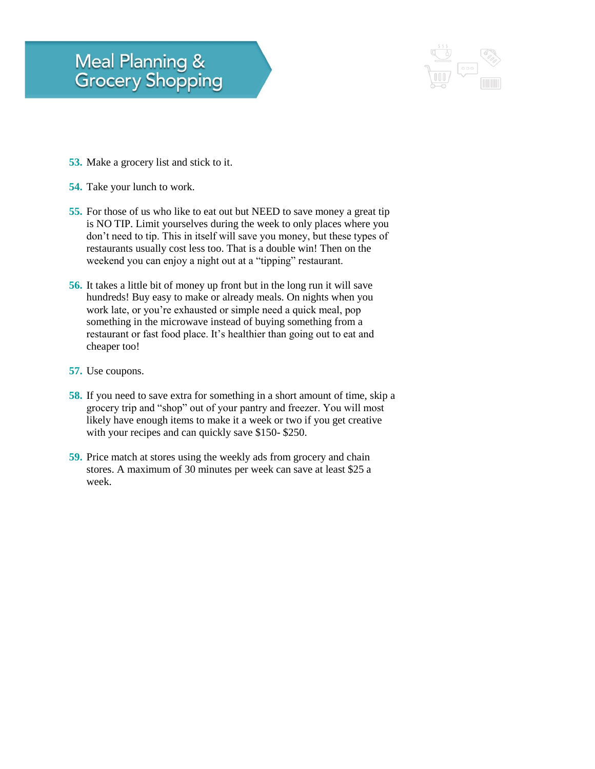#### **Meal Planning & Grocery Shopping**



- **53.** Make a grocery list and stick to it.
- **54.** Take your lunch to work.
- **55.** For those of us who like to eat out but NEED to save money a great tip is NO TIP. Limit yourselves during the week to only places where you don't need to tip. This in itself will save you money, but these types of restaurants usually cost less too. That is a double win! Then on the weekend you can enjoy a night out at a "tipping" restaurant.
- **56.** It takes a little bit of money up front but in the long run it will save hundreds! Buy easy to make or already meals. On nights when you work late, or you're exhausted or simple need a quick meal, pop something in the microwave instead of buying something from a restaurant or fast food place. It's healthier than going out to eat and cheaper too!
- **57.** Use coupons.
- **58.** If you need to save extra for something in a short amount of time, skip a grocery trip and "shop" out of your pantry and freezer. You will most likely have enough items to make it a week or two if you get creative with your recipes and can quickly save \$150- \$250.
- **59.** Price match at stores using the weekly ads from grocery and chain stores. A maximum of 30 minutes per week can save at least \$25 a week.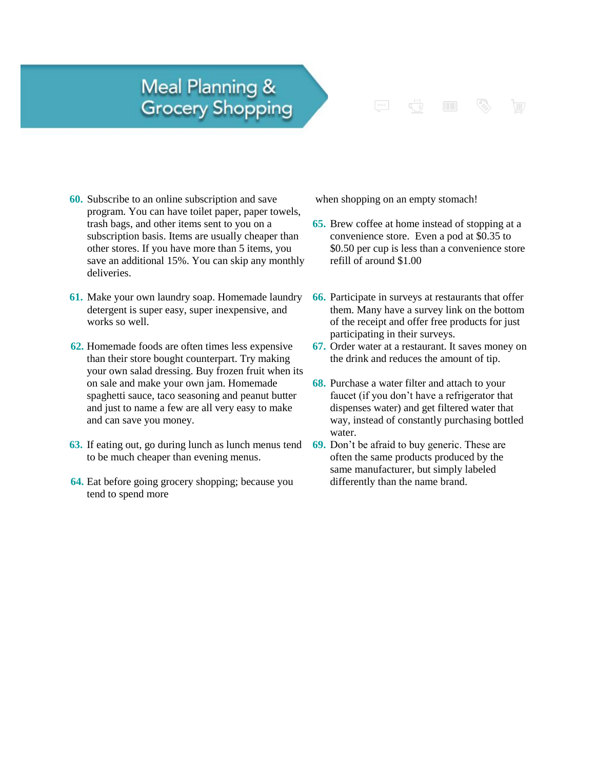#### **Meal Planning & Grocery Shopping**



- **60.** Subscribe to an online subscription and save program. You can have toilet paper, paper towels, trash bags, and other items sent to you on a subscription basis. Items are usually cheaper than other stores. If you have more than 5 items, you save an additional 15%. You can skip any monthly deliveries.
- **61.** Make your own laundry soap. Homemade laundry detergent is super easy, super inexpensive, and works so well.
- **62.** Homemade foods are often times less expensive than their store bought counterpart. Try making your own salad dressing. Buy frozen fruit when its on sale and make your own jam. Homemade spaghetti sauce, taco seasoning and peanut butter and just to name a few are all very easy to make and can save you money.
- **63.** If eating out, go during lunch as lunch menus tend to be much cheaper than evening menus.
- **64.** Eat before going grocery shopping; because you tend to spend more

when shopping on an empty stomach!

- **65.** Brew coffee at home instead of stopping at a convenience store. Even a pod at \$0.35 to \$0.50 per cup is less than a convenience store refill of around \$1.00
- **66.** Participate in surveys at restaurants that offer them. Many have a survey link on the bottom of the receipt and offer free products for just participating in their surveys.
- **67.** Order water at a restaurant. It saves money on the drink and reduces the amount of tip.
- **68.** Purchase a water filter and attach to your faucet (if you don't have a refrigerator that dispenses water) and get filtered water that way, instead of constantly purchasing bottled water.
- **69.** Don't be afraid to buy generic. These are often the same products produced by the same manufacturer, but simply labeled differently than the name brand.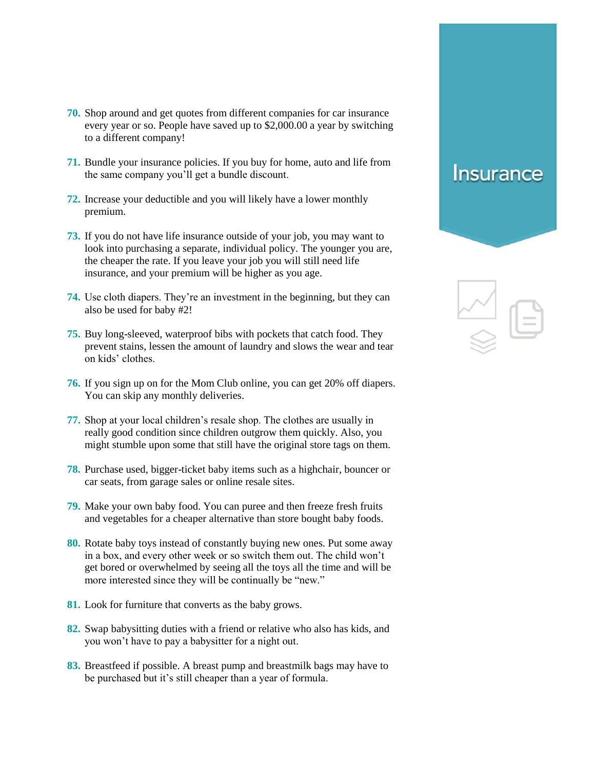- **70.** Shop around and get quotes from different companies for car insurance every year or so. People have saved up to \$2,000.00 a year by switching to a different company!
- **71.** Bundle your insurance policies. If you buy for home, auto and life from the same company you'll get a bundle discount.
- **72.** Increase your deductible and you will likely have a lower monthly premium.
- **73.** If you do not have life insurance outside of your job, you may want to look into purchasing a separate, individual policy. The younger you are, the cheaper the rate. If you leave your job you will still need life insurance, and your premium will be higher as you age.
- **74.** Use cloth diapers. They're an investment in the beginning, but they can also be used for baby #2!
- **75.** Buy long-sleeved, waterproof bibs with pockets that catch food. They prevent stains, lessen the amount of laundry and slows the wear and tear on kids' clothes.
- **76.** If you sign up on for the Mom Club online, you can get 20% off diapers. You can skip any monthly deliveries.
- **77.** Shop at your local children's resale shop. The clothes are usually in really good condition since children outgrow them quickly. Also, you might stumble upon some that still have the original store tags on them.
- **78.** Purchase used, bigger-ticket baby items such as a highchair, bouncer or car seats, from garage sales or online resale sites.
- **79.** Make your own baby food. You can puree and then freeze fresh fruits and vegetables for a cheaper alternative than store bought baby foods.
- **80.** Rotate baby toys instead of constantly buying new ones. Put some away in a box, and every other week or so switch them out. The child won't get bored or overwhelmed by seeing all the toys all the time and will be more interested since they will be continually be "new."
- **81.** Look for furniture that converts as the baby grows.
- **82.** Swap babysitting duties with a friend or relative who also has kids, and you won't have to pay a babysitter for a night out.
- **83.** Breastfeed if possible. A breast pump and breastmilk bags may have to be purchased but it's still cheaper than a year of formula.

#### **Insurance**

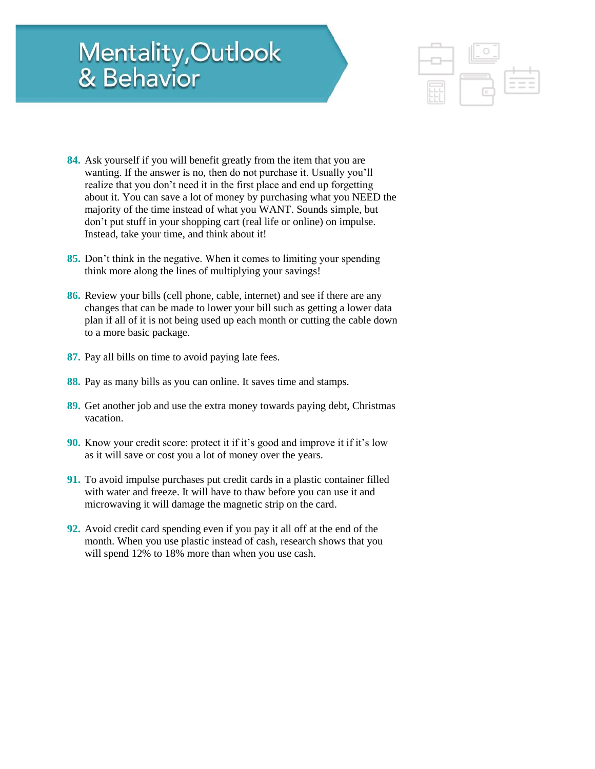# Mentality, Outlook<br>& Behavior



- **84.** Ask yourself if you will benefit greatly from the item that you are wanting. If the answer is no, then do not purchase it. Usually you'll realize that you don't need it in the first place and end up forgetting about it. You can save a lot of money by purchasing what you NEED the majority of the time instead of what you WANT. Sounds simple, but don't put stuff in your shopping cart (real life or online) on impulse. Instead, take your time, and think about it!
- **85.** Don't think in the negative. When it comes to limiting your spending think more along the lines of multiplying your savings!
- **86.** Review your bills (cell phone, cable, internet) and see if there are any changes that can be made to lower your bill such as getting a lower data plan if all of it is not being used up each month or cutting the cable down to a more basic package.
- **87.** Pay all bills on time to avoid paying late fees.
- **88.** Pay as many bills as you can online. It saves time and stamps.
- **89.** Get another job and use the extra money towards paying debt, Christmas vacation.
- **90.** Know your credit score: protect it if it's good and improve it if it's low as it will save or cost you a lot of money over the years.
- **91.** To avoid impulse purchases put credit cards in a plastic container filled with water and freeze. It will have to thaw before you can use it and microwaving it will damage the magnetic strip on the card.
- **92.** Avoid credit card spending even if you pay it all off at the end of the month. When you use plastic instead of cash, research shows that you will spend 12% to 18% more than when you use cash.